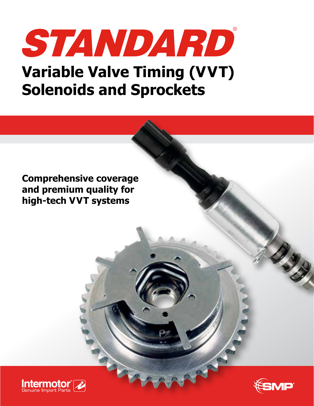# STANDARD **Variable Valve Timing (VVT) Solenoids and Sprockets**

**Comprehensive coverage and premium quality for high-tech VVT systems**





No. of Concession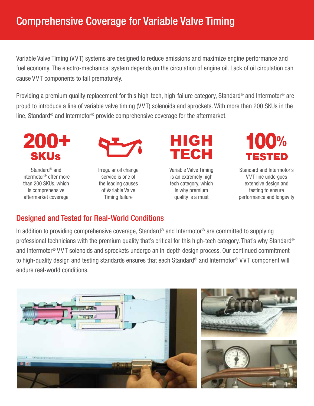Variable Valve Timing (VVT) systems are designed to reduce emissions and maximize engine performance and fuel economy. The electro-mechanical system depends on the circulation of engine oil. Lack of oil circulation can cause VVT components to fail prematurely.

Providing a premium quality replacement for this high-tech, high-failure category, Standard® and Intermotor® are proud to introduce a line of variable valve timing (VVT) solenoids and sprockets. With more than 200 SKUs in the line, Standard® and Intermotor® provide comprehensive coverage for the aftermarket.



Standard® and Intermotor® offer more than 200 SKUs, which is comprehensive aftermarket coverage



Irregular oil change service is one of the leading causes of Variable Valve Timing failure



Variable Valve Timing is an extremely high tech category, which is why premium quality is a must



Standard and Intermotor's VVT line undergoes extensive design and testing to ensure performance and longevity

#### Designed and Tested for Real-World Conditions

In addition to providing comprehensive coverage, Standard® and Intermotor® are committed to supplying professional technicians with the premium quality that's critical for this high-tech category. That's why Standard® and Intermotor® V VT solenoids and sprockets undergo an in-depth design process. Our continued commitment to high-quality design and testing standards ensures that each Standard® and Intermotor® V VT component will endure real-world conditions.

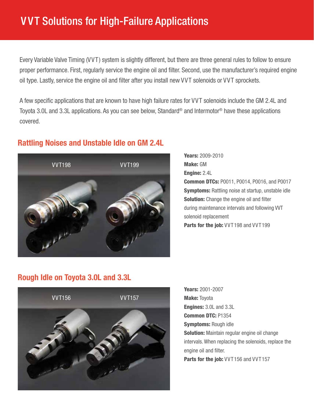### V VT Solutions for High-Failure Applications

Every Variable Valve Timing (VVT) system is slightly different, but there are three general rules to follow to ensure proper performance. First, regularly service the engine oil and filter. Second, use the manufacturer's required engine oil type. Lastly, service the engine oil and filter after you install new VVT solenoids or VVT sprockets.

A few specific applications that are known to have high failure rates for VVT solenoids include the GM 2.4L and Toyota 3.0L and 3.3L applications. As you can see below, Standard® and Intermotor® have these applications covered.

#### Rattling Noises and Unstable Idle on GM 2.4L



Years: 2009-2010 Make: GM Engine: 2.4L Common DTCs: P0011, P0014, P0016, and P0017 **Symptoms:** Rattling noise at startup, unstable idle **Solution:** Change the engine oil and filter during maintenance intervals and following VVT solenoid replacement Parts for the job: VVT198 and VVT199

#### Rough Idle on Toyota 3.0L and 3.3L



Years: 2001-2007 **Make: Toyota** Engines: 3.0L and 3.3L Common DTC: P1354 **Symptoms: Rough idle Solution:** Maintain regular engine oil change intervals. When replacing the solenoids, replace the engine oil and filter. Parts for the job: VVT156 and VVT157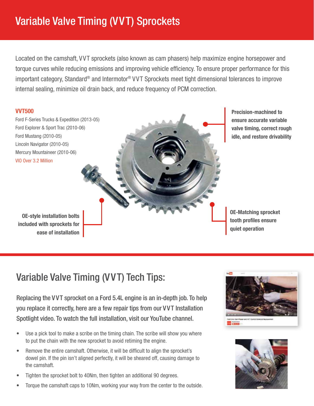## Variable Valve Timing (VVT) Sprockets

Located on the camshaft, VVT sprockets (also known as cam phasers) help maximize engine horsepower and torque curves while reducing emissions and improving vehicle efficiency. To ensure proper performance for this important category, Standard® and Intermotor® VVT Sprockets meet tight dimensional tolerances to improve internal sealing, minimize oil drain back, and reduce frequency of PCM correction.



Precision-machined to ensure accurate variable valve timing, correct rough idle, and restore drivability

OE-Matching sprocket tooth profiles ensure quiet operation

### Variable Valve Timing (VVT) Tech Tips:

Replacing the VVT sprocket on a Ford 5.4L engine is an in-depth job. To help you replace it correctly, here are a few repair tips from our V VT Installation Spotlight video. To watch the full installation, visit our YouTube channel.

- Use a pick tool to make a scribe on the timing chain. The scribe will show you where to put the chain with the new sprocket to avoid retiming the engine.
- Remove the entire camshaft. Otherwise, it will be difficult to align the sprocket's dowel pin. If the pin isn't aligned perfectly, it will be sheared off, causing damage to the camshaft.
- Tighten the sprocket bolt to 40Nm, then tighten an additional 90 degrees.
- Torque the camshaft caps to 10Nm, working your way from the center to the outside.



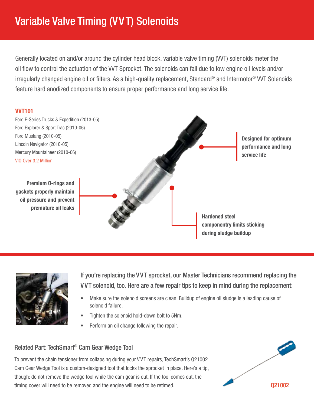### Variable Valve Timing (VVT) Solenoids

Generally located on and/or around the cylinder head block, variable valve timing (VVT) solenoids meter the oil flow to control the actuation of the VVT Sprocket. The solenoids can fail due to low engine oil levels and/or irregularly changed engine oil or filters. As a high-quality replacement, Standard® and Intermotor® VVT Solenoids feature hard anodized components to ensure proper performance and long service life.

#### VVT101





If you're replacing the VVT sprocket, our Master Technicians recommend replacing the VVT solenoid, too. Here are a few repair tips to keep in mind during the replacement:

- Make sure the solenoid screens are clean. Buildup of engine oil sludge is a leading cause of solenoid failure.
- Tighten the solenoid hold-down bolt to 5Nm.
- Perform an oil change following the repair.

#### Related Part: TechSmart® Cam Gear Wedge Tool

To prevent the chain tensioner from collapsing during your V VT repairs, TechSmart's Q21002 Cam Gear Wedge Tool is a custom-designed tool that locks the sprocket in place. Here's a tip, though: do not remove the wedge tool while the cam gear is out. If the tool comes out, the timing cover will need to be removed and the engine will need to be retimed.